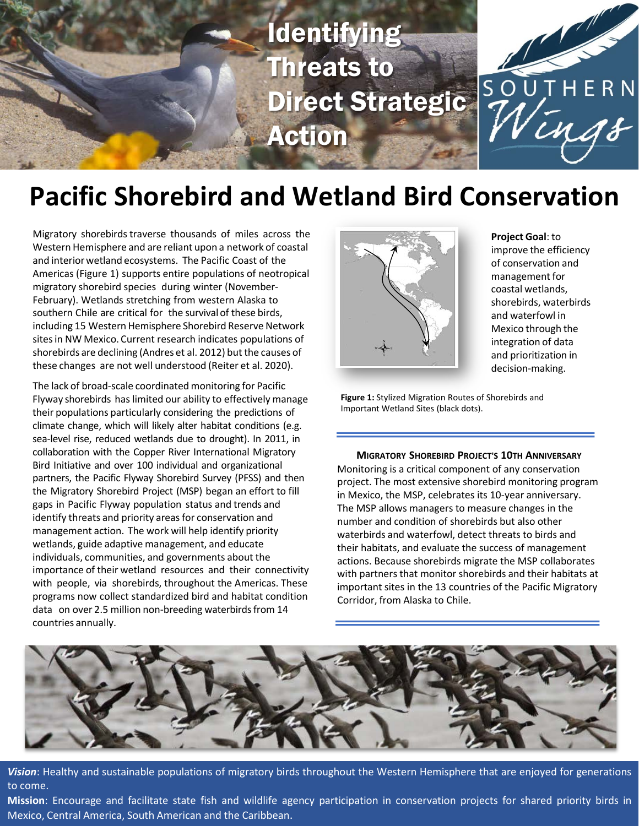

# **Pacific Shorebird and Wetland Bird Conservation**

Migratory shorebirds traverse thousands of miles across the Western Hemisphere and are reliant upon a network of coastal and interior wetland ecosystems. The Pacific Coast of the Americas (Figure 1) supports entire populations of neotropical migratory shorebird species during winter (November-February). Wetlands stretching from western Alaska to southern Chile are critical for the survival of these birds, including 15 Western Hemisphere Shorebird Reserve Network sites in NW Mexico. Current research indicates populations of shorebirds are declining (Andres et al. 2012) but the causes of these changes are not well understood (Reiter et al. 2020).

The lack of broad-scale coordinated monitoring for Pacific Flyway shorebirds has limited our ability to effectively manage their populations particularly considering the predictions of climate change, which will likely alter habitat conditions (e.g. sea-level rise, reduced wetlands due to drought). In 2011, in collaboration with the Copper River International Migratory Bird Initiative and over 100 individual and organizational partners, the Pacific Flyway Shorebird Survey (PFSS) and then the Migratory Shorebird Project (MSP) began an effort to fill gaps in Pacific Flyway population status and trends and identify threats and priority areas for conservation and management action. The work will help identify priority wetlands, guide adaptive management, and educate individuals, communities, and governments about the importance of their wetland resources and their connectivity with people, via shorebirds, throughout the Americas. These programs now collect standardized bird and habitat condition data on over 2.5 million non-breeding waterbirds from 14 countries annually.



**Project Goal**: to improve the efficiency of conservation and management for coastal wetlands, shorebirds, waterbirds and waterfowl in Mexico through the integration of data and prioritization in decision-making.

**Figure 1:** Stylized Migration Routes of Shorebirds and Important Wetland Sites (black dots).

**MIGRATORY SHOREBIRD PROJECT'S 10TH ANNIVERSARY** Monitoring is a critical component of any conservation project. The most extensive shorebird monitoring program in Mexico, the MSP, celebrates its 10-year anniversary. The MSP allows managers to measure changes in the number and condition of shorebirds but also other waterbirds and waterfowl, detect threats to birds and their habitats, and evaluate the success of management actions. Because shorebirds migrate the MSP collaborates with partners that monitor shorebirds and their habitats at important sites in the 13 countries of the Pacific Migratory Corridor, from Alaska to Chile.



*Vision*: Healthy and sustainable populations of migratory birds throughout the Western Hemisphere that are enjoyed for generations to come.

**Mission**: Encourage and facilitate state fish and wildlife agency participation in conservation projects for shared priority birds in Mexico, Central America, South American and the Caribbean.